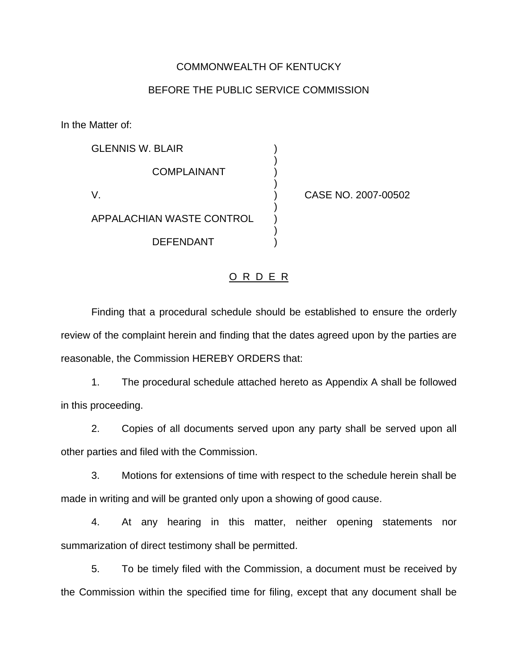#### COMMONWEALTH OF KENTUCKY

### BEFORE THE PUBLIC SERVICE COMMISSION

In the Matter of:

| <b>GLENNIS W. BLAIR</b>          |  |
|----------------------------------|--|
| COMPLAINANT                      |  |
| V.                               |  |
| <b>APPALACHIAN WASTE CONTROL</b> |  |
| <b>DEFENDANT</b>                 |  |

CASE NO. 2007-00502

## O R D E R

Finding that a procedural schedule should be established to ensure the orderly review of the complaint herein and finding that the dates agreed upon by the parties are reasonable, the Commission HEREBY ORDERS that:

1. The procedural schedule attached hereto as Appendix A shall be followed in this proceeding.

2. Copies of all documents served upon any party shall be served upon all other parties and filed with the Commission.

3. Motions for extensions of time with respect to the schedule herein shall be made in writing and will be granted only upon a showing of good cause.

4. At any hearing in this matter, neither opening statements nor summarization of direct testimony shall be permitted.

5. To be timely filed with the Commission, a document must be received by the Commission within the specified time for filing, except that any document shall be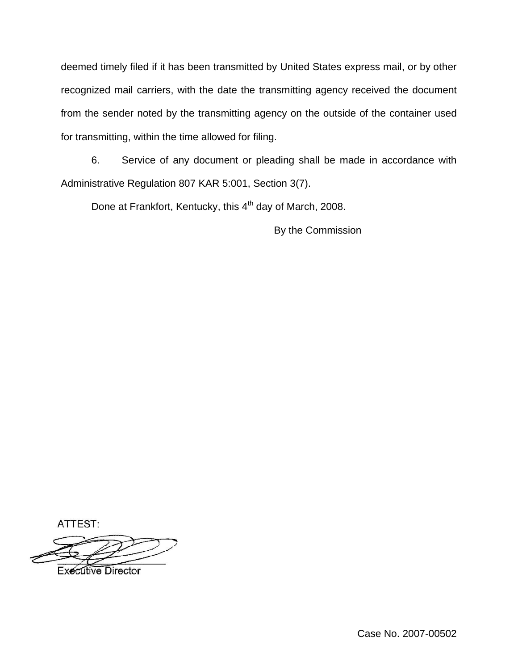deemed timely filed if it has been transmitted by United States express mail, or by other recognized mail carriers, with the date the transmitting agency received the document from the sender noted by the transmitting agency on the outside of the container used for transmitting, within the time allowed for filing.

6. Service of any document or pleading shall be made in accordance with Administrative Regulation 807 KAR 5:001, Section 3(7).

Done at Frankfort, Kentucky, this 4<sup>th</sup> day of March, 2008.

By the Commission

ATTEST:

**Executive Director**